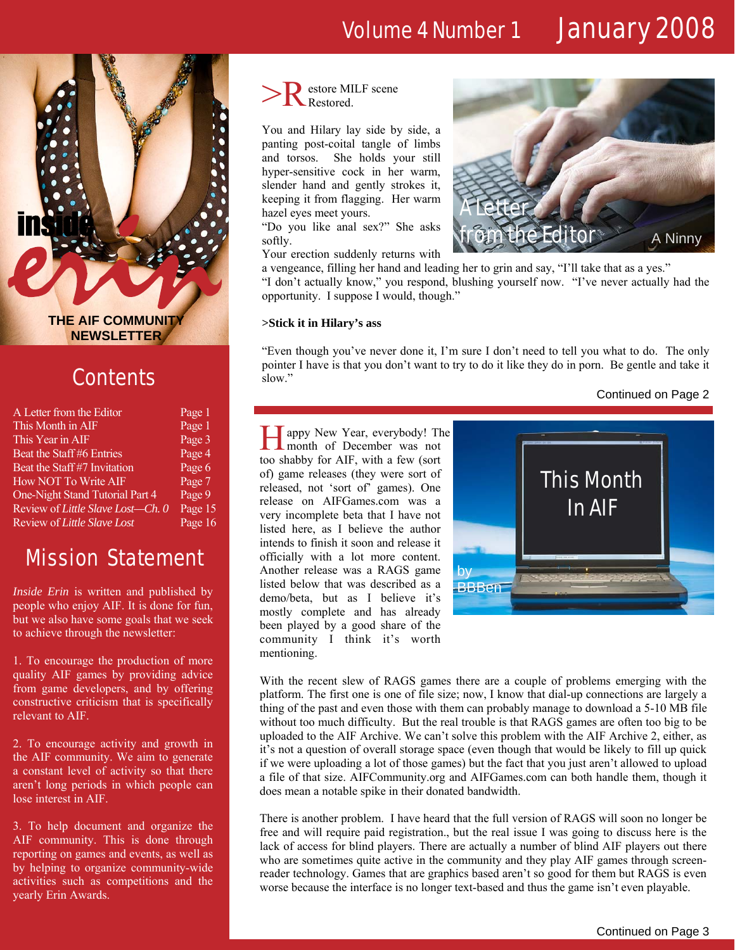

**THE AIF COMMUNIT NEWSLETTER** 

## **Contents**

| A Letter from the Editor               | Page 1  |
|----------------------------------------|---------|
| This Month in AIF                      | Page 1  |
| This Year in AIF                       | Page 3  |
| Beat the Staff#6 Entries               | Page 4  |
| Beat the Staff#7 Invitation            | Page 6  |
| How NOT To Write AIF                   | Page 7  |
| <b>One-Night Stand Tutorial Part 4</b> | Page 9  |
| Review of Little Slave Lost-Ch. 0      | Page 15 |
| Review of Little Slave Lost            | Page 16 |
|                                        |         |

## Mission Statement

*Inside Erin* is written and published by people who enjoy AIF. It is done for fun, but we also have some goals that we seek to achieve through the newsletter:

1. To encourage the production of more quality AIF games by providing advice from game developers, and by offering constructive criticism that is specifically relevant to AIF.

2. To encourage activity and growth in the AIF community. We aim to generate a constant level of activity so that there aren't long periods in which people can lose interest in AIF.

3. To help document and organize the AIF community. This is done through reporting on games and events, as well as by helping to organize community-wide activities such as competitions and the yearly Erin Awards.



You and Hilary lay side by side, a panting post-coital tangle of limbs and torsos. She holds your still hyper-sensitive cock in her warm, slender hand and gently strokes it, keeping it from flagging. Her warm hazel eyes meet yours.

"Do you like anal sex?" She asks softly.

Your erection suddenly returns with

a vengeance, filling her hand and leading her to grin and say, "I'll take that as a yes." "I don't actually know," you respond, blushing yourself now. "I've never actually had the opportunity. I suppose I would, though." A Ninny

A Letter

#### **>Stick it in Hilary's ass**

"Even though you've never done it, I'm sure I don't need to tell you what to do. The only pointer I have is that you don't want to try to do it like they do in porn. Be gentle and take it slow."

#### Continued on Page 2

H appy New Year, everybody! The month of December was not too shabby for AIF, with a few (sort of) game releases (they were sort of released, not 'sort of' games). One release on AIFGames.com was a very incomplete beta that I have not listed here, as I believe the author intends to finish it soon and release it officially with a lot more content. Another release was a RAGS game listed below that was described as a demo/beta, but as I believe it's mostly complete and has already been played by a good share of the community I think it's worth mentioning.



With the recent slew of RAGS games there are a couple of problems emerging with the platform. The first one is one of file size; now, I know that dial-up connections are largely a thing of the past and even those with them can probably manage to download a 5-10 MB file without too much difficulty. But the real trouble is that RAGS games are often too big to be uploaded to the AIF Archive. We can't solve this problem with the AIF Archive 2, either, as it's not a question of overall storage space (even though that would be likely to fill up quick if we were uploading a lot of those games) but the fact that you just aren't allowed to upload a file of that size. AIFCommunity.org and AIFGames.com can both handle them, though it does mean a notable spike in their donated bandwidth.

There is another problem. I have heard that the full version of RAGS will soon no longer be free and will require paid registration., but the real issue I was going to discuss here is the lack of access for blind players. There are actually a number of blind AIF players out there who are sometimes quite active in the community and they play AIF games through screenreader technology. Games that are graphics based aren't so good for them but RAGS is even worse because the interface is no longer text-based and thus the game isn't even playable.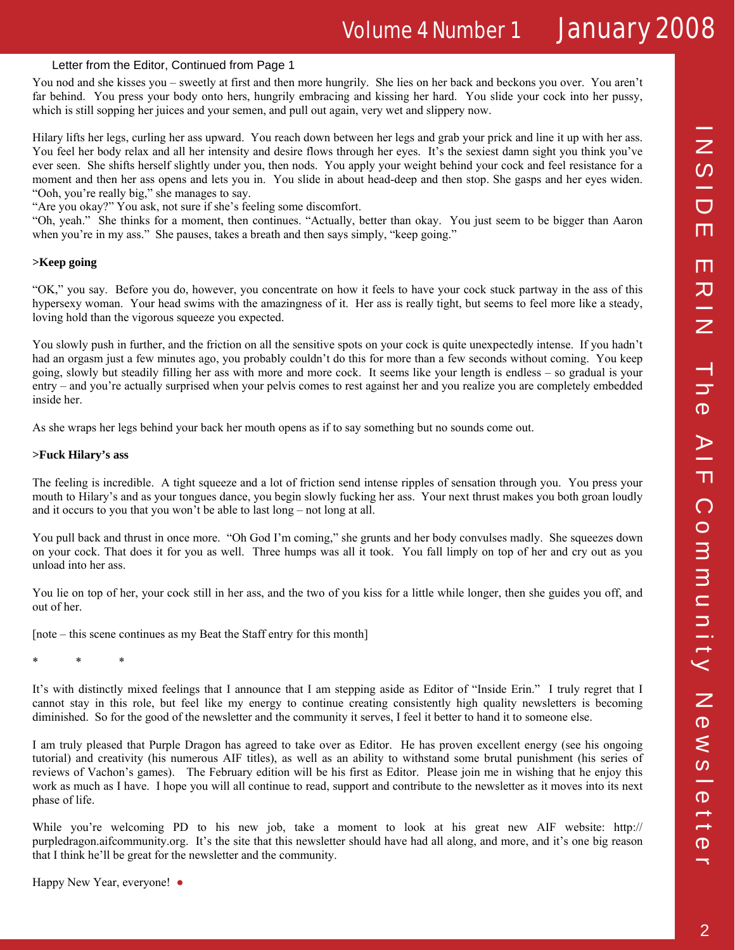## Letter from the Editor, Continued from Page 1

You nod and she kisses you – sweetly at first and then more hungrily. She lies on her back and beckons you over. You aren't far behind. You press your body onto hers, hungrily embracing and kissing her hard. You slide your cock into her pussy, which is still sopping her juices and your semen, and pull out again, very wet and slippery now.

Hilary lifts her legs, curling her ass upward. You reach down between her legs and grab your prick and line it up with her ass. You feel her body relax and all her intensity and desire flows through her eyes. It's the sexiest damn sight you think you've ever seen. She shifts herself slightly under you, then nods. You apply your weight behind your cock and feel resistance for a moment and then her ass opens and lets you in. You slide in about head-deep and then stop. She gasps and her eyes widen. "Ooh, you're really big," she manages to say.

"Are you okay?" You ask, not sure if she's feeling some discomfort.

"Oh, yeah." She thinks for a moment, then continues. "Actually, better than okay. You just seem to be bigger than Aaron when you're in my ass." She pauses, takes a breath and then says simply, "keep going."

## **>Keep going**

"OK," you say. Before you do, however, you concentrate on how it feels to have your cock stuck partway in the ass of this hypersexy woman. Your head swims with the amazingness of it. Her ass is really tight, but seems to feel more like a steady, loving hold than the vigorous squeeze you expected.

You slowly push in further, and the friction on all the sensitive spots on your cock is quite unexpectedly intense. If you hadn't had an orgasm just a few minutes ago, you probably couldn't do this for more than a few seconds without coming. You keep going, slowly but steadily filling her ass with more and more cock. It seems like your length is endless – so gradual is your entry – and you're actually surprised when your pelvis comes to rest against her and you realize you are completely embedded inside her.

As she wraps her legs behind your back her mouth opens as if to say something but no sounds come out.

## **>Fuck Hilary's ass**

The feeling is incredible. A tight squeeze and a lot of friction send intense ripples of sensation through you. You press your mouth to Hilary's and as your tongues dance, you begin slowly fucking her ass. Your next thrust makes you both groan loudly and it occurs to you that you won't be able to last long – not long at all.

You pull back and thrust in once more. "Oh God I'm coming," she grunts and her body convulses madly. She squeezes down on your cock. That does it for you as well. Three humps was all it took. You fall limply on top of her and cry out as you unload into her ass.

You lie on top of her, your cock still in her ass, and the two of you kiss for a little while longer, then she guides you off, and out of her.

[note – this scene continues as my Beat the Staff entry for this month]

\* \* \*

It's with distinctly mixed feelings that I announce that I am stepping aside as Editor of "Inside Erin." I truly regret that I cannot stay in this role, but feel like my energy to continue creating consistently high quality newsletters is becoming diminished. So for the good of the newsletter and the community it serves, I feel it better to hand it to someone else.

I am truly pleased that Purple Dragon has agreed to take over as Editor. He has proven excellent energy (see his ongoing tutorial) and creativity (his numerous AIF titles), as well as an ability to withstand some brutal punishment (his series of reviews of Vachon's games). The February edition will be his first as Editor. Please join me in wishing that he enjoy this work as much as I have. I hope you will all continue to read, support and contribute to the newsletter as it moves into its next phase of life.

While you're welcoming PD to his new job, take a moment to look at his great new AIF website: http:// purpledragon.aifcommunity.org. It's the site that this newsletter should have had all along, and more, and it's one big reason that I think he'll be great for the newsletter and the community.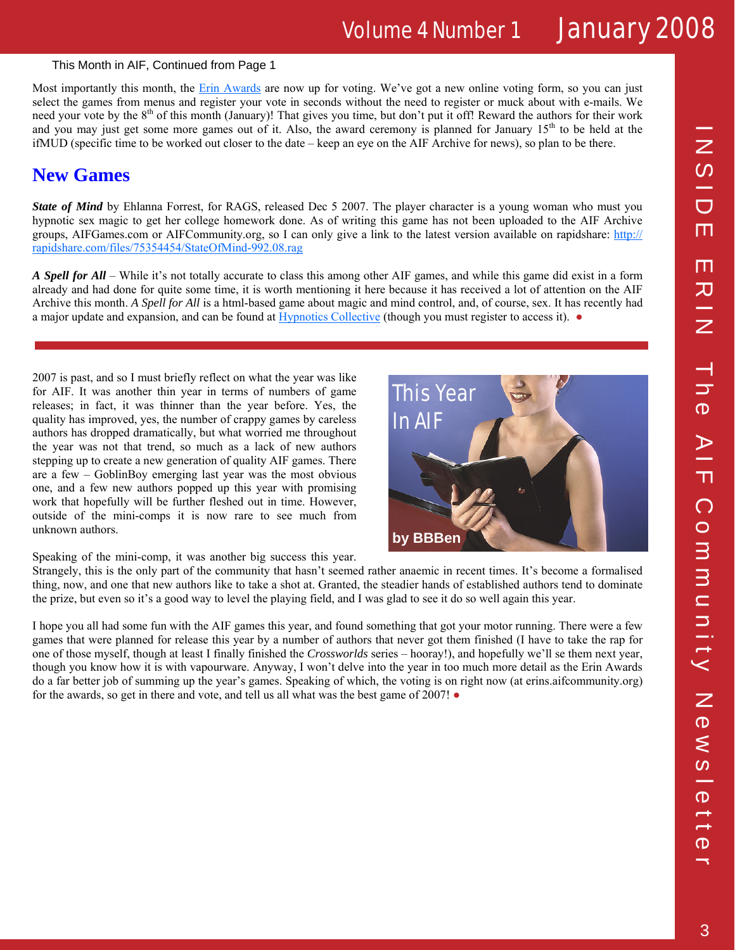## This Month in AIF, Continued from Page 1

Most importantly this month, the Erin Awards are now up for voting. We've got a new online voting form, so you can just select the games from menus and register your vote in seconds without the need to register or muck about with e-mails. We need your vote by the 8<sup>th</sup> of this month (January)! That gives you time, but don't put it off! Reward the authors for their work and you may just get some more games out of it. Also, the award ceremony is planned for January  $15<sup>th</sup>$  to be held at the ifMUD (specific time to be worked out closer to the date – keep an eye on the AIF Archive for news), so plan to be there.

## **New Games**

*State of Mind* by Ehlanna Forrest, for RAGS, released Dec 5 2007. The player character is a young woman who must you hypnotic sex magic to get her college homework done. As of writing this game has not been uploaded to the AIF Archive groups, AIFGames.com or AIFCommunity.org, so I can only give a link to the latest version available on rapidshare: http:// rapidshare.com/files/75354454/StateOfMind-992.08.rag

*A Spell for All* – While it's not totally accurate to class this among other AIF games, and while this game did exist in a form already and had done for quite some time, it is worth mentioning it here because it has received a lot of attention on the AIF Archive this month. *A Spell for All* is a html-based game about magic and mind control, and, of course, sex. It has recently had a major update and expansion, and can be found at Hypnotics Collective (though you must register to access it). ●

2007 is past, and so I must briefly reflect on what the year was like for AIF. It was another thin year in terms of numbers of game releases; in fact, it was thinner than the year before. Yes, the quality has improved, yes, the number of crappy games by careless authors has dropped dramatically, but what worried me throughout the year was not that trend, so much as a lack of new authors stepping up to create a new generation of quality AIF games. There are a few – GoblinBoy emerging last year was the most obvious one, and a few new authors popped up this year with promising work that hopefully will be further fleshed out in time. However, outside of the mini-comps it is now rare to see much from unknown authors.

Speaking of the mini-comp, it was another big success this year.

Strangely, this is the only part of the community that hasn't seemed rather anaemic in recent times. It's become a formalised thing, now, and one that new authors like to take a shot at. Granted, the steadier hands of established authors tend to dominate the prize, but even so it's a good way to level the playing field, and I was glad to see it do so well again this year.

I hope you all had some fun with the AIF games this year, and found something that got your motor running. There were a few games that were planned for release this year by a number of authors that never got them finished (I have to take the rap for one of those myself, though at least I finally finished the *Crossworlds* series – hooray!), and hopefully we'll se them next year, though you know how it is with vapourware. Anyway, I won't delve into the year in too much more detail as the Erin Awards do a far better job of summing up the year's games. Speaking of which, the voting is on right now (at erins.aifcommunity.org) for the awards, so get in there and vote, and tell us all what was the best game of 2007!  $\bullet$ 

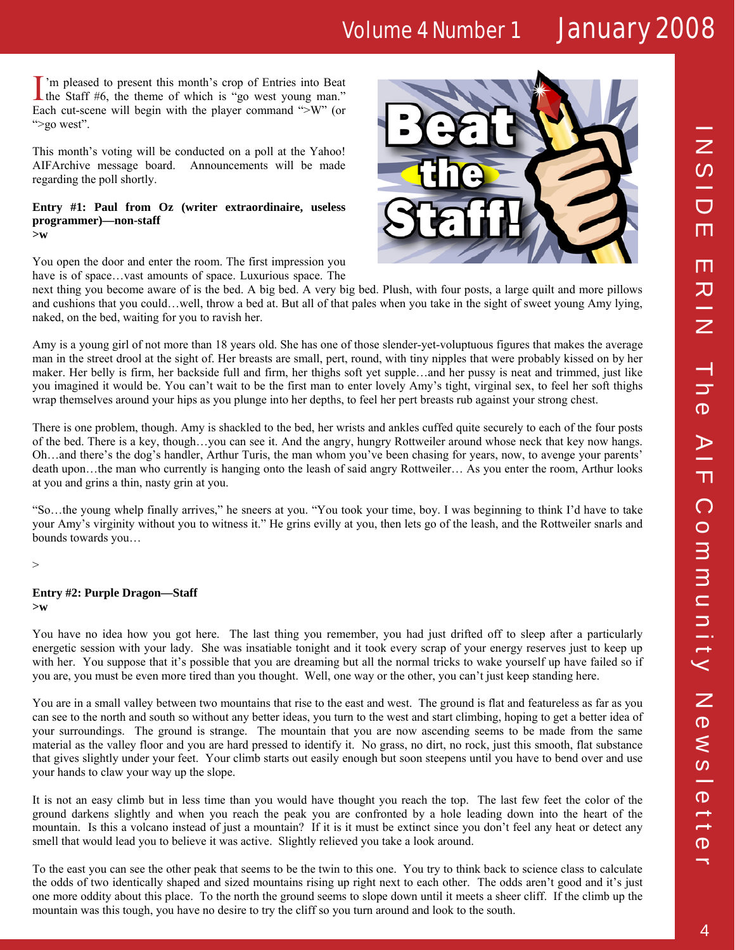I'm pleased to present this month's crop of Entries into Beat the Staff  $#6$ , the theme of which is "go west young man." Each cut-scene will begin with the player command " $>W$ " (or ">go west".

This month's voting will be conducted on a poll at the Yahoo! AIFArchive message board. Announcements will be made regarding the poll shortly.

#### **Entry #1: Paul from Oz (writer extraordinaire, useless programmer)—non-staff >w**

You open the door and enter the room. The first impression you have is of space...vast amounts of space. Luxurious space. The



Amy is a young girl of not more than 18 years old. She has one of those slender-yet-voluptuous figures that makes the average man in the street drool at the sight of. Her breasts are small, pert, round, with tiny nipples that were probably kissed on by her maker. Her belly is firm, her backside full and firm, her thighs soft yet supple…and her pussy is neat and trimmed, just like you imagined it would be. You can't wait to be the first man to enter lovely Amy's tight, virginal sex, to feel her soft thighs wrap themselves around your hips as you plunge into her depths, to feel her pert breasts rub against your strong chest.

There is one problem, though. Amy is shackled to the bed, her wrists and ankles cuffed quite securely to each of the four posts of the bed. There is a key, though…you can see it. And the angry, hungry Rottweiler around whose neck that key now hangs. Oh…and there's the dog's handler, Arthur Turis, the man whom you've been chasing for years, now, to avenge your parents' death upon…the man who currently is hanging onto the leash of said angry Rottweiler… As you enter the room, Arthur looks at you and grins a thin, nasty grin at you.

"So…the young whelp finally arrives," he sneers at you. "You took your time, boy. I was beginning to think I'd have to take your Amy's virginity without you to witness it." He grins evilly at you, then lets go of the leash, and the Rottweiler snarls and bounds towards you…

>

#### **Entry #2: Purple Dragon—Staff >w**

You have no idea how you got here. The last thing you remember, you had just drifted off to sleep after a particularly energetic session with your lady. She was insatiable tonight and it took every scrap of your energy reserves just to keep up with her. You suppose that it's possible that you are dreaming but all the normal tricks to wake yourself up have failed so if you are, you must be even more tired than you thought. Well, one way or the other, you can't just keep standing here.

You are in a small valley between two mountains that rise to the east and west. The ground is flat and featureless as far as you can see to the north and south so without any better ideas, you turn to the west and start climbing, hoping to get a better idea of your surroundings. The ground is strange. The mountain that you are now ascending seems to be made from the same material as the valley floor and you are hard pressed to identify it. No grass, no dirt, no rock, just this smooth, flat substance that gives slightly under your feet. Your climb starts out easily enough but soon steepens until you have to bend over and use your hands to claw your way up the slope.

It is not an easy climb but in less time than you would have thought you reach the top. The last few feet the color of the ground darkens slightly and when you reach the peak you are confronted by a hole leading down into the heart of the mountain. Is this a volcano instead of just a mountain? If it is it must be extinct since you don't feel any heat or detect any smell that would lead you to believe it was active. Slightly relieved you take a look around.

To the east you can see the other peak that seems to be the twin to this one. You try to think back to science class to calculate the odds of two identically shaped and sized mountains rising up right next to each other. The odds aren't good and it's just one more oddity about this place. To the north the ground seems to slope down until it meets a sheer cliff. If the climb up the mountain was this tough, you have no desire to try the cliff so you turn around and look to the south.

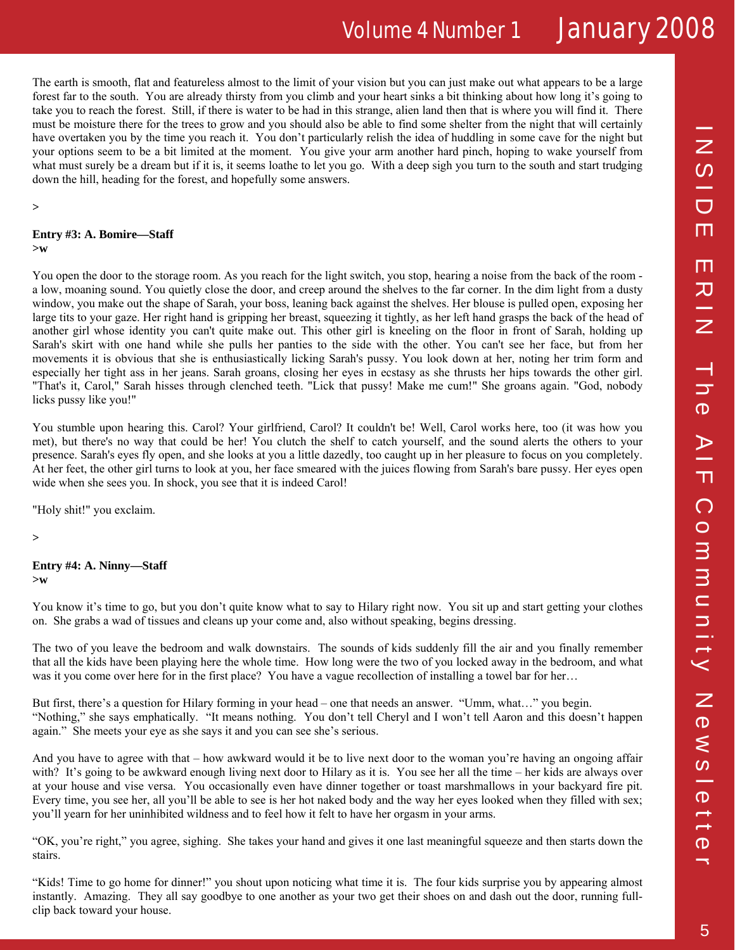The earth is smooth, flat and featureless almost to the limit of your vision but you can just make out what appears to be a large forest far to the south. You are already thirsty from you climb and your heart sinks a bit thinking about how long it's going to take you to reach the forest. Still, if there is water to be had in this strange, alien land then that is where you will find it. There must be moisture there for the trees to grow and you should also be able to find some shelter from the night that will certainly have overtaken you by the time you reach it. You don't particularly relish the idea of huddling in some cave for the night but your options seem to be a bit limited at the moment. You give your arm another hard pinch, hoping to wake yourself from what must surely be a dream but if it is, it seems loathe to let you go. With a deep sigh you turn to the south and start trudging down the hill, heading for the forest, and hopefully some answers.

**>** 

## **Entry #3: A. Bomire—Staff**

**>w** 

You open the door to the storage room. As you reach for the light switch, you stop, hearing a noise from the back of the room a low, moaning sound. You quietly close the door, and creep around the shelves to the far corner. In the dim light from a dusty window, you make out the shape of Sarah, your boss, leaning back against the shelves. Her blouse is pulled open, exposing her large tits to your gaze. Her right hand is gripping her breast, squeezing it tightly, as her left hand grasps the back of the head of another girl whose identity you can't quite make out. This other girl is kneeling on the floor in front of Sarah, holding up Sarah's skirt with one hand while she pulls her panties to the side with the other. You can't see her face, but from her movements it is obvious that she is enthusiastically licking Sarah's pussy. You look down at her, noting her trim form and especially her tight ass in her jeans. Sarah groans, closing her eyes in ecstasy as she thrusts her hips towards the other girl. "That's it, Carol," Sarah hisses through clenched teeth. "Lick that pussy! Make me cum!" She groans again. "God, nobody licks pussy like you!"

You stumble upon hearing this. Carol? Your girlfriend, Carol? It couldn't be! Well, Carol works here, too (it was how you met), but there's no way that could be her! You clutch the shelf to catch yourself, and the sound alerts the others to your presence. Sarah's eyes fly open, and she looks at you a little dazedly, too caught up in her pleasure to focus on you completely. At her feet, the other girl turns to look at you, her face smeared with the juices flowing from Sarah's bare pussy. Her eyes open wide when she sees you. In shock, you see that it is indeed Carol!

"Holy shit!" you exclaim.

**>** 

## **Entry #4: A. Ninny—Staff**

**>w**

You know it's time to go, but you don't quite know what to say to Hilary right now. You sit up and start getting your clothes on. She grabs a wad of tissues and cleans up your come and, also without speaking, begins dressing.

The two of you leave the bedroom and walk downstairs. The sounds of kids suddenly fill the air and you finally remember that all the kids have been playing here the whole time. How long were the two of you locked away in the bedroom, and what was it you come over here for in the first place? You have a vague recollection of installing a towel bar for her…

But first, there's a question for Hilary forming in your head – one that needs an answer. "Umm, what…" you begin. "Nothing," she says emphatically. "It means nothing. You don't tell Cheryl and I won't tell Aaron and this doesn't happen again." She meets your eye as she says it and you can see she's serious.

And you have to agree with that – how awkward would it be to live next door to the woman you're having an ongoing affair with? It's going to be awkward enough living next door to Hilary as it is. You see her all the time – her kids are always over at your house and vise versa. You occasionally even have dinner together or toast marshmallows in your backyard fire pit. Every time, you see her, all you'll be able to see is her hot naked body and the way her eyes looked when they filled with sex; you'll yearn for her uninhibited wildness and to feel how it felt to have her orgasm in your arms.

"OK, you're right," you agree, sighing. She takes your hand and gives it one last meaningful squeeze and then starts down the stairs.

"Kids! Time to go home for dinner!" you shout upon noticing what time it is. The four kids surprise you by appearing almost instantly. Amazing. They all say goodbye to one another as your two get their shoes on and dash out the door, running fullclip back toward your house.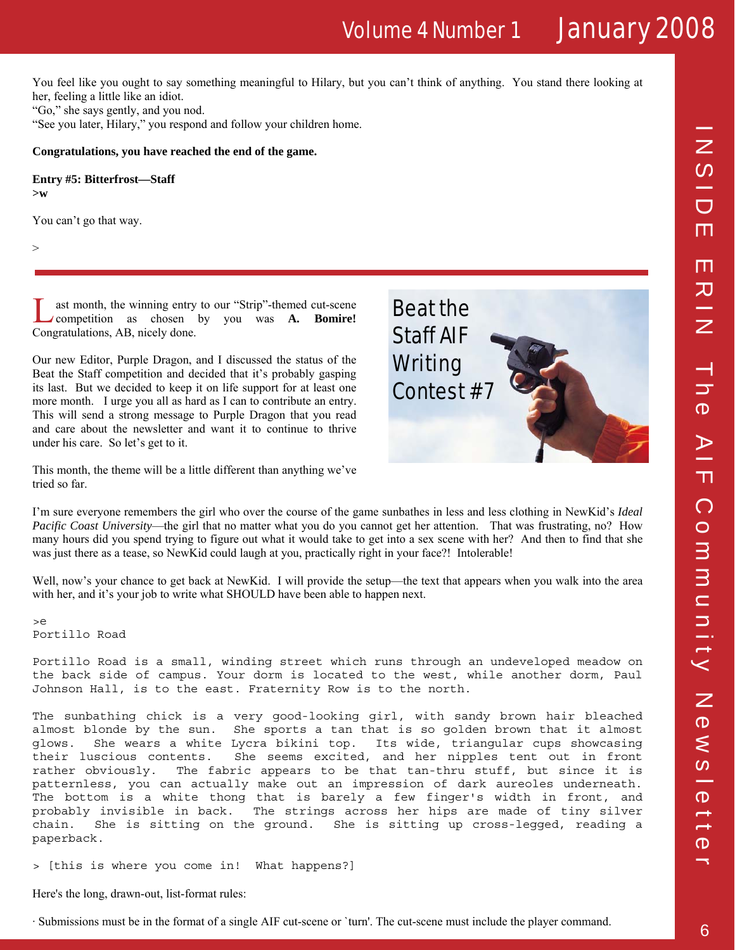You feel like you ought to say something meaningful to Hilary, but you can't think of anything. You stand there looking at her, feeling a little like an idiot.

"Go," she says gently, and you nod.

"See you later, Hilary," you respond and follow your children home.

#### **Congratulations, you have reached the end of the game.**

#### **Entry #5: Bitterfrost—Staff >w**

You can't go that way.

>

ast month, the winning entry to our "Strip"-themed cut-scene competition as chosen by you was **A. Bomire!** Congratulations, AB, nicely done.

Our new Editor, Purple Dragon, and I discussed the status of the Beat the Staff competition and decided that it's probably gasping its last. But we decided to keep it on life support for at least one more month. I urge you all as hard as I can to contribute an entry. This will send a strong message to Purple Dragon that you read and care about the newsletter and want it to continue to thrive under his care. So let's get to it.

This month, the theme will be a little different than anything we've tried so far.

I'm sure everyone remembers the girl who over the course of the game sunbathes in less and less clothing in NewKid's *Ideal Pacific Coast University*—the girl that no matter what you do you cannot get her attention. That was frustrating, no? How many hours did you spend trying to figure out what it would take to get into a sex scene with her? And then to find that she was just there as a tease, so NewKid could laugh at you, practically right in your face?! Intolerable!

Well, now's your chance to get back at NewKid. I will provide the setup—the text that appears when you walk into the area with her, and it's your job to write what SHOULD have been able to happen next.

>e Portillo Road

Portillo Road is a small, winding street which runs through an undeveloped meadow on the back side of campus. Your dorm is located to the west, while another dorm, Paul Johnson Hall, is to the east. Fraternity Row is to the north.

The sunbathing chick is a very good-looking girl, with sandy brown hair bleached almost blonde by the sun. She sports a tan that is so golden brown that it almost glows. She wears a white Lycra bikini top. Its wide, triangular cups showcasing their luscious contents. She seems excited, and her nipples tent out in front rather obviously. The fabric appears to be that tan-thru stuff, but since it is patternless, you can actually make out an impression of dark aureoles underneath. The bottom is a white thong that is barely a few finger's width in front, and probably invisible in back. The strings across her hips are made of tiny silver chain. She is sitting on the ground. She is sitting up cross-legged, reading a paperback.

> [this is where you come in! What happens?]

Here's the long, drawn-out, list-format rules:

· Submissions must be in the format of a single AIF cut-scene or `turn'. The cut-scene must include the player command.

## Volume 4 Number 1 January 2008

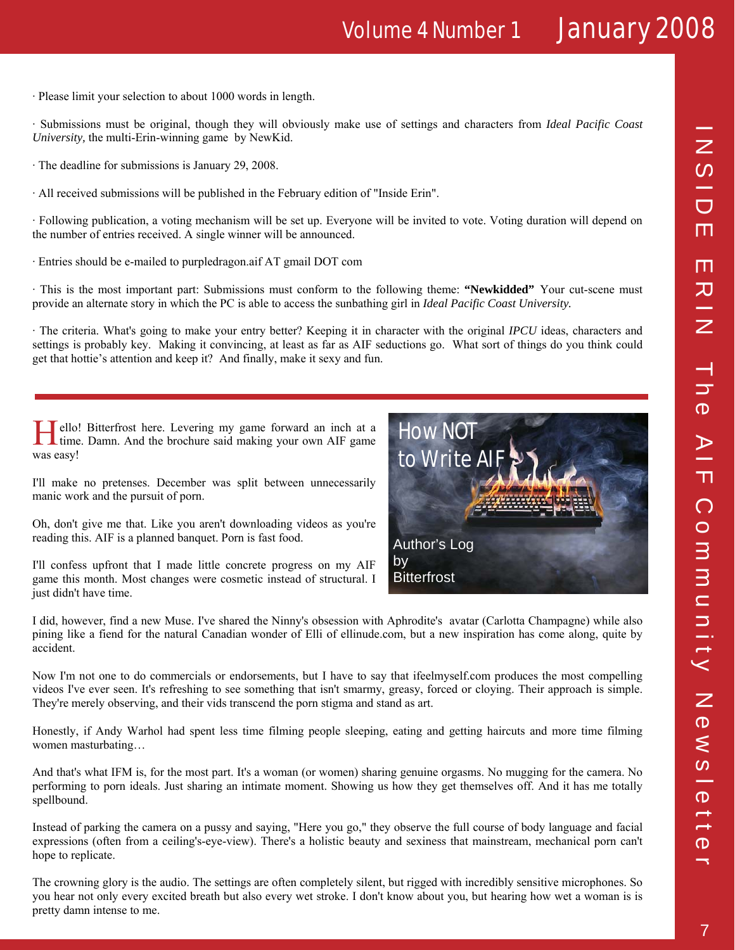· Submissions must be original, though they will obviously make use of settings and characters from *Ideal Pacific Coast University,* the multi-Erin-winning game by NewKid.

· The deadline for submissions is January 29, 2008.

· All received submissions will be published in the February edition of "Inside Erin".

· Following publication, a voting mechanism will be set up. Everyone will be invited to vote. Voting duration will depend on the number of entries received. A single winner will be announced.

· Entries should be e-mailed to purpledragon.aif AT gmail DOT com

· This is the most important part: Submissions must conform to the following theme: **"Newkidded"** Your cut-scene must provide an alternate story in which the PC is able to access the sunbathing girl in *Ideal Pacific Coast University.* 

· The criteria. What's going to make your entry better? Keeping it in character with the original *IPCU* ideas, characters and settings is probably key. Making it convincing, at least as far as AIF seductions go. What sort of things do you think could get that hottie's attention and keep it? And finally, make it sexy and fun.

Hello! Bitterfrost here. Levering my game forward an inch at a time. Damn. And the brochure said making your own AIF game was easy!

I'll make no pretenses. December was split between unnecessarily manic work and the pursuit of porn.

Oh, don't give me that. Like you aren't downloading videos as you're reading this. AIF is a planned banquet. Porn is fast food.

I'll confess upfront that I made little concrete progress on my AIF game this month. Most changes were cosmetic instead of structural. I just didn't have time.



I did, however, find a new Muse. I've shared the Ninny's obsession with Aphrodite's avatar (Carlotta Champagne) while also pining like a fiend for the natural Canadian wonder of Elli of ellinude.com, but a new inspiration has come along, quite by accident.

Now I'm not one to do commercials or endorsements, but I have to say that ifeelmyself.com produces the most compelling videos I've ever seen. It's refreshing to see something that isn't smarmy, greasy, forced or cloying. Their approach is simple. They're merely observing, and their vids transcend the porn stigma and stand as art.

Honestly, if Andy Warhol had spent less time filming people sleeping, eating and getting haircuts and more time filming women masturbating…

And that's what IFM is, for the most part. It's a woman (or women) sharing genuine orgasms. No mugging for the camera. No performing to porn ideals. Just sharing an intimate moment. Showing us how they get themselves off. And it has me totally spellbound.

Instead of parking the camera on a pussy and saying, "Here you go," they observe the full course of body language and facial expressions (often from a ceiling's-eye-view). There's a holistic beauty and sexiness that mainstream, mechanical porn can't hope to replicate.

The crowning glory is the audio. The settings are often completely silent, but rigged with incredibly sensitive microphones. So you hear not only every excited breath but also every wet stroke. I don't know about you, but hearing how wet a woman is is pretty damn intense to me.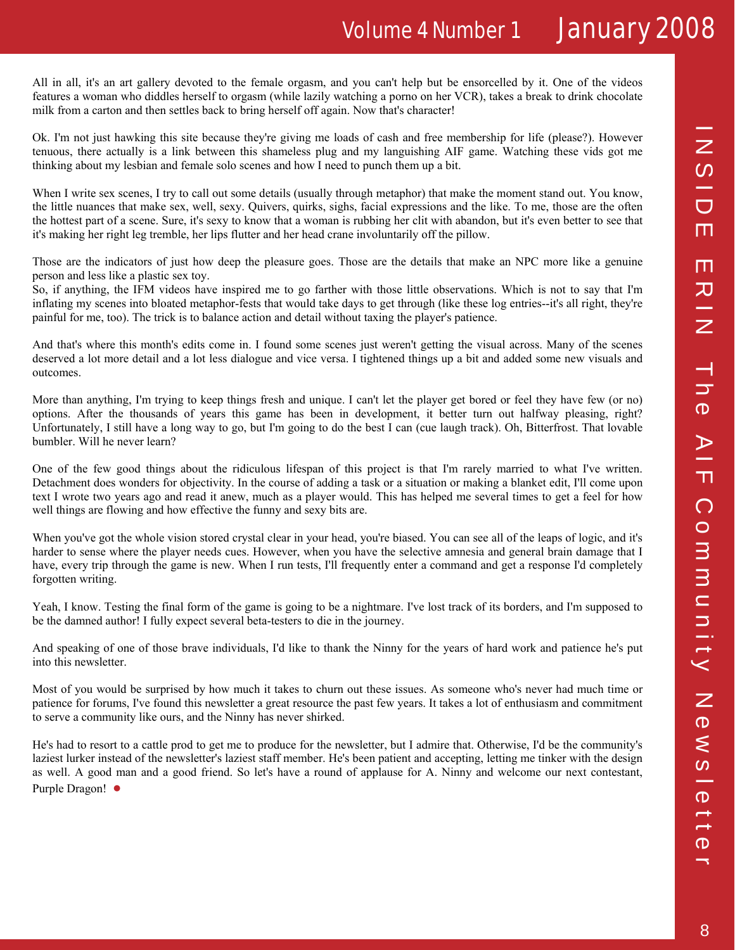All in all, it's an art gallery devoted to the female orgasm, and you can't help but be ensorcelled by it. One of the videos features a woman who diddles herself to orgasm (while lazily watching a porno on her VCR), takes a break to drink chocolate milk from a carton and then settles back to bring herself off again. Now that's character!

Ok. I'm not just hawking this site because they're giving me loads of cash and free membership for life (please?). However tenuous, there actually is a link between this shameless plug and my languishing AIF game. Watching these vids got me thinking about my lesbian and female solo scenes and how I need to punch them up a bit.

When I write sex scenes, I try to call out some details (usually through metaphor) that make the moment stand out. You know, the little nuances that make sex, well, sexy. Quivers, quirks, sighs, facial expressions and the like. To me, those are the often the hottest part of a scene. Sure, it's sexy to know that a woman is rubbing her clit with abandon, but it's even better to see that it's making her right leg tremble, her lips flutter and her head crane involuntarily off the pillow.

Those are the indicators of just how deep the pleasure goes. Those are the details that make an NPC more like a genuine person and less like a plastic sex toy.

So, if anything, the IFM videos have inspired me to go farther with those little observations. Which is not to say that I'm inflating my scenes into bloated metaphor-fests that would take days to get through (like these log entries--it's all right, they're painful for me, too). The trick is to balance action and detail without taxing the player's patience.

And that's where this month's edits come in. I found some scenes just weren't getting the visual across. Many of the scenes deserved a lot more detail and a lot less dialogue and vice versa. I tightened things up a bit and added some new visuals and outcomes.

More than anything, I'm trying to keep things fresh and unique. I can't let the player get bored or feel they have few (or no) options. After the thousands of years this game has been in development, it better turn out halfway pleasing, right? Unfortunately, I still have a long way to go, but I'm going to do the best I can (cue laugh track). Oh, Bitterfrost. That lovable bumbler. Will he never learn?

One of the few good things about the ridiculous lifespan of this project is that I'm rarely married to what I've written. Detachment does wonders for objectivity. In the course of adding a task or a situation or making a blanket edit, I'll come upon text I wrote two years ago and read it anew, much as a player would. This has helped me several times to get a feel for how well things are flowing and how effective the funny and sexy bits are.

When you've got the whole vision stored crystal clear in your head, you're biased. You can see all of the leaps of logic, and it's harder to sense where the player needs cues. However, when you have the selective amnesia and general brain damage that I have, every trip through the game is new. When I run tests, I'll frequently enter a command and get a response I'd completely forgotten writing.

Yeah, I know. Testing the final form of the game is going to be a nightmare. I've lost track of its borders, and I'm supposed to be the damned author! I fully expect several beta-testers to die in the journey.

And speaking of one of those brave individuals, I'd like to thank the Ninny for the years of hard work and patience he's put into this newsletter.

Most of you would be surprised by how much it takes to churn out these issues. As someone who's never had much time or patience for forums, I've found this newsletter a great resource the past few years. It takes a lot of enthusiasm and commitment to serve a community like ours, and the Ninny has never shirked.

He's had to resort to a cattle prod to get me to produce for the newsletter, but I admire that. Otherwise, I'd be the community's laziest lurker instead of the newsletter's laziest staff member. He's been patient and accepting, letting me tinker with the design as well. A good man and a good friend. So let's have a round of applause for A. Ninny and welcome our next contestant, Purple Dragon! ●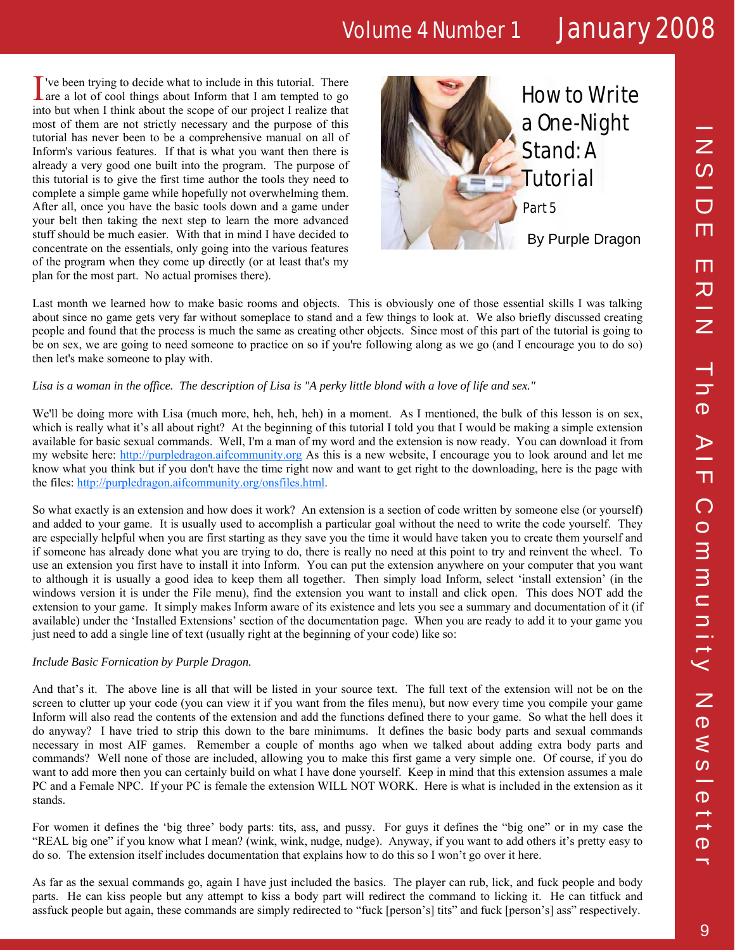I 've been trying to decide what to include in this tutorial. There are a lot of cool things about Inform that I am tempted to go into but when I think about the scope of our project I realize that most of them are not strictly necessary and the purpose of this tutorial has never been to be a comprehensive manual on all of Inform's various features. If that is what you want then there is already a very good one built into the program. The purpose of this tutorial is to give the first time author the tools they need to complete a simple game while hopefully not overwhelming them. After all, once you have the basic tools down and a game under your belt then taking the next step to learn the more advanced stuff should be much easier. With that in mind I have decided to concentrate on the essentials, only going into the various features of the program when they come up directly (or at least that's my plan for the most part. No actual promises there).



Last month we learned how to make basic rooms and objects. This is obviously one of those essential skills I was talking about since no game gets very far without someplace to stand and a few things to look at. We also briefly discussed creating people and found that the process is much the same as creating other objects. Since most of this part of the tutorial is going to be on sex, we are going to need someone to practice on so if you're following along as we go (and I encourage you to do so) then let's make someone to play with.

#### *Lisa is a woman in the office. The description of Lisa is "A perky little blond with a love of life and sex."*

We'll be doing more with Lisa (much more, heh, heh, heh) in a moment. As I mentioned, the bulk of this lesson is on sex, which is really what it's all about right? At the beginning of this tutorial I told you that I would be making a simple extension available for basic sexual commands. Well, I'm a man of my word and the extension is now ready. You can download it from my website here: http://purpledragon.aifcommunity.org As this is a new website, I encourage you to look around and let me know what you think but if you don't have the time right now and want to get right to the downloading, here is the page with the files: http://purpledragon.aifcommunity.org/onsfiles.html.

So what exactly is an extension and how does it work? An extension is a section of code written by someone else (or yourself) and added to your game. It is usually used to accomplish a particular goal without the need to write the code yourself. They are especially helpful when you are first starting as they save you the time it would have taken you to create them yourself and if someone has already done what you are trying to do, there is really no need at this point to try and reinvent the wheel. To use an extension you first have to install it into Inform. You can put the extension anywhere on your computer that you want to although it is usually a good idea to keep them all together. Then simply load Inform, select 'install extension' (in the windows version it is under the File menu), find the extension you want to install and click open. This does NOT add the extension to your game. It simply makes Inform aware of its existence and lets you see a summary and documentation of it (if available) under the 'Installed Extensions' section of the documentation page. When you are ready to add it to your game you just need to add a single line of text (usually right at the beginning of your code) like so:

#### *Include Basic Fornication by Purple Dragon.*

And that's it. The above line is all that will be listed in your source text. The full text of the extension will not be on the screen to clutter up your code (you can view it if you want from the files menu), but now every time you compile your game Inform will also read the contents of the extension and add the functions defined there to your game. So what the hell does it do anyway? I have tried to strip this down to the bare minimums. It defines the basic body parts and sexual commands necessary in most AIF games. Remember a couple of months ago when we talked about adding extra body parts and commands? Well none of those are included, allowing you to make this first game a very simple one. Of course, if you do want to add more then you can certainly build on what I have done yourself. Keep in mind that this extension assumes a male PC and a Female NPC. If your PC is female the extension WILL NOT WORK. Here is what is included in the extension as it stands.

For women it defines the 'big three' body parts: tits, ass, and pussy. For guys it defines the "big one" or in my case the "REAL big one" if you know what I mean? (wink, wink, nudge, nudge). Anyway, if you want to add others it's pretty easy to do so. The extension itself includes documentation that explains how to do this so I won't go over it here.

As far as the sexual commands go, again I have just included the basics. The player can rub, lick, and fuck people and body parts. He can kiss people but any attempt to kiss a body part will redirect the command to licking it. He can titfuck and assfuck people but again, these commands are simply redirected to "fuck [person's] tits" and fuck [person's] ass" respectively.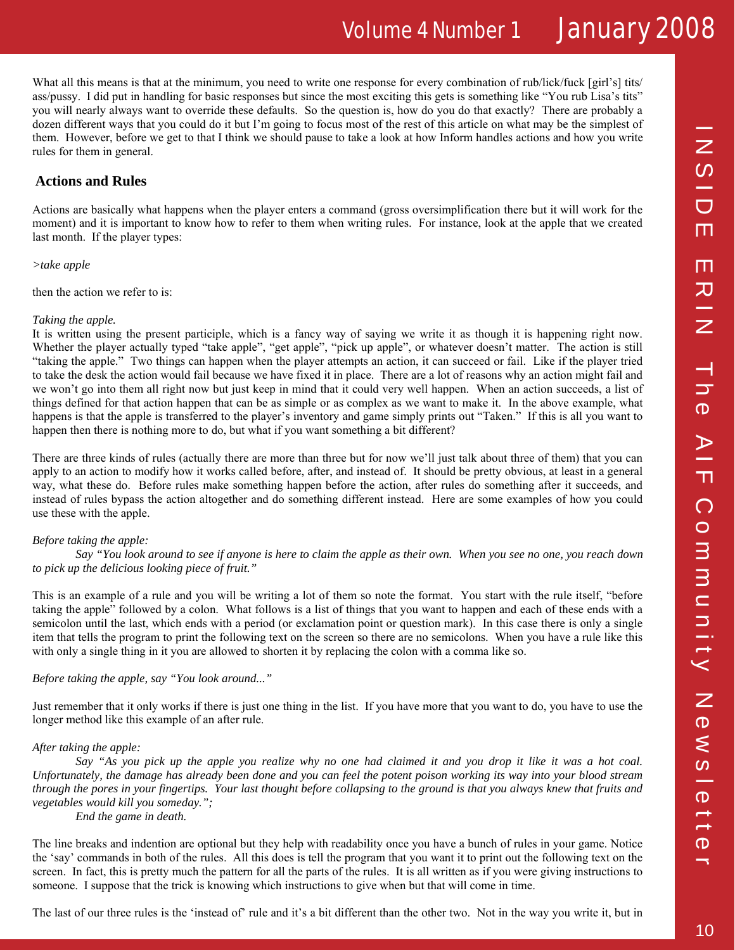What all this means is that at the minimum, you need to write one response for every combination of rub/lick/fuck [girl's] tits/ ass/pussy. I did put in handling for basic responses but since the most exciting this gets is something like "You rub Lisa's tits" you will nearly always want to override these defaults. So the question is, how do you do that exactly? There are probably a dozen different ways that you could do it but I'm going to focus most of the rest of this article on what may be the simplest of them. However, before we get to that I think we should pause to take a look at how Inform handles actions and how you write rules for them in general.

### **Actions and Rules**

Actions are basically what happens when the player enters a command (gross oversimplification there but it will work for the moment) and it is important to know how to refer to them when writing rules. For instance, look at the apple that we created last month. If the player types:

*>take apple* 

then the action we refer to is:

#### *Taking the apple.*

It is written using the present participle, which is a fancy way of saying we write it as though it is happening right now. Whether the player actually typed "take apple", "get apple", "pick up apple", or whatever doesn't matter. The action is still "taking the apple." Two things can happen when the player attempts an action, it can succeed or fail. Like if the player tried to take the desk the action would fail because we have fixed it in place. There are a lot of reasons why an action might fail and we won't go into them all right now but just keep in mind that it could very well happen. When an action succeeds, a list of things defined for that action happen that can be as simple or as complex as we want to make it. In the above example, what happens is that the apple is transferred to the player's inventory and game simply prints out "Taken." If this is all you want to happen then there is nothing more to do, but what if you want something a bit different?

There are three kinds of rules (actually there are more than three but for now we'll just talk about three of them) that you can apply to an action to modify how it works called before, after, and instead of. It should be pretty obvious, at least in a general way, what these do. Before rules make something happen before the action, after rules do something after it succeeds, and instead of rules bypass the action altogether and do something different instead. Here are some examples of how you could use these with the apple.

#### *Before taking the apple:*

 *Say "You look around to see if anyone is here to claim the apple as their own. When you see no one, you reach down to pick up the delicious looking piece of fruit."* 

This is an example of a rule and you will be writing a lot of them so note the format. You start with the rule itself, "before taking the apple" followed by a colon. What follows is a list of things that you want to happen and each of these ends with a semicolon until the last, which ends with a period (or exclamation point or question mark). In this case there is only a single item that tells the program to print the following text on the screen so there are no semicolons. When you have a rule like this with only a single thing in it you are allowed to shorten it by replacing the colon with a comma like so.

#### *Before taking the apple, say "You look around..."*

Just remember that it only works if there is just one thing in the list. If you have more that you want to do, you have to use the longer method like this example of an after rule.

#### *After taking the apple:*

 *Say "As you pick up the apple you realize why no one had claimed it and you drop it like it was a hot coal. Unfortunately, the damage has already been done and you can feel the potent poison working its way into your blood stream through the pores in your fingertips. Your last thought before collapsing to the ground is that you always knew that fruits and vegetables would kill you someday.";* 

 *End the game in death.* 

The line breaks and indention are optional but they help with readability once you have a bunch of rules in your game. Notice the 'say' commands in both of the rules. All this does is tell the program that you want it to print out the following text on the screen. In fact, this is pretty much the pattern for all the parts of the rules. It is all written as if you were giving instructions to someone. I suppose that the trick is knowing which instructions to give when but that will come in time.

The last of our three rules is the 'instead of' rule and it's a bit different than the other two. Not in the way you write it, but in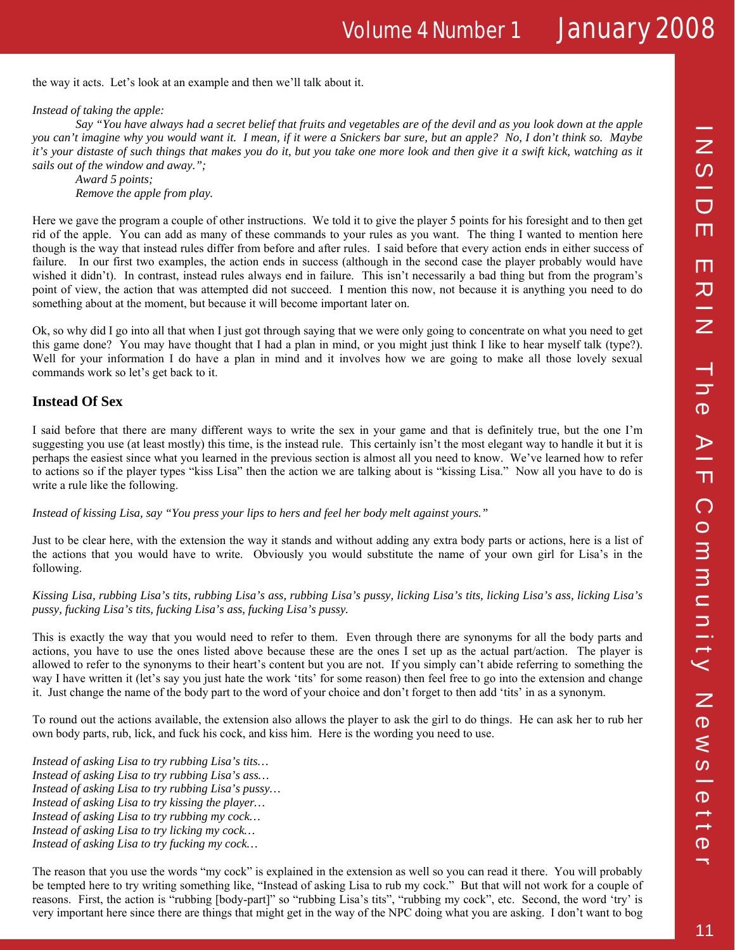the way it acts. Let's look at an example and then we'll talk about it.

*Instead of taking the apple:* 

 *Say "You have always had a secret belief that fruits and vegetables are of the devil and as you look down at the apple you can't imagine why you would want it. I mean, if it were a Snickers bar sure, but an apple? No, I don't think so. Maybe it's your distaste of such things that makes you do it, but you take one more look and then give it a swift kick, watching as it sails out of the window and away.";* 

 *Award 5 points; Remove the apple from play.* 

Here we gave the program a couple of other instructions. We told it to give the player 5 points for his foresight and to then get rid of the apple. You can add as many of these commands to your rules as you want. The thing I wanted to mention here though is the way that instead rules differ from before and after rules. I said before that every action ends in either success of failure. In our first two examples, the action ends in success (although in the second case the player probably would have wished it didn't). In contrast, instead rules always end in failure. This isn't necessarily a bad thing but from the program's point of view, the action that was attempted did not succeed. I mention this now, not because it is anything you need to do something about at the moment, but because it will become important later on.

Ok, so why did I go into all that when I just got through saying that we were only going to concentrate on what you need to get this game done? You may have thought that I had a plan in mind, or you might just think I like to hear myself talk (type?). Well for your information I do have a plan in mind and it involves how we are going to make all those lovely sexual commands work so let's get back to it.

### **Instead Of Sex**

I said before that there are many different ways to write the sex in your game and that is definitely true, but the one I'm suggesting you use (at least mostly) this time, is the instead rule. This certainly isn't the most elegant way to handle it but it is perhaps the easiest since what you learned in the previous section is almost all you need to know. We've learned how to refer to actions so if the player types "kiss Lisa" then the action we are talking about is "kissing Lisa." Now all you have to do is write a rule like the following.

*Instead of kissing Lisa, say "You press your lips to hers and feel her body melt against yours."* 

Just to be clear here, with the extension the way it stands and without adding any extra body parts or actions, here is a list of the actions that you would have to write. Obviously you would substitute the name of your own girl for Lisa's in the following.

*Kissing Lisa, rubbing Lisa's tits, rubbing Lisa's ass, rubbing Lisa's pussy, licking Lisa's tits, licking Lisa's ass, licking Lisa's pussy, fucking Lisa's tits, fucking Lisa's ass, fucking Lisa's pussy.* 

This is exactly the way that you would need to refer to them. Even through there are synonyms for all the body parts and actions, you have to use the ones listed above because these are the ones I set up as the actual part/action. The player is allowed to refer to the synonyms to their heart's content but you are not. If you simply can't abide referring to something the way I have written it (let's say you just hate the work 'tits' for some reason) then feel free to go into the extension and change it. Just change the name of the body part to the word of your choice and don't forget to then add 'tits' in as a synonym.

To round out the actions available, the extension also allows the player to ask the girl to do things. He can ask her to rub her own body parts, rub, lick, and fuck his cock, and kiss him. Here is the wording you need to use.

*Instead of asking Lisa to try rubbing Lisa's tits… Instead of asking Lisa to try rubbing Lisa's ass… Instead of asking Lisa to try rubbing Lisa's pussy… Instead of asking Lisa to try kissing the player… Instead of asking Lisa to try rubbing my cock… Instead of asking Lisa to try licking my cock… Instead of asking Lisa to try fucking my cock…* 

The reason that you use the words "my cock" is explained in the extension as well so you can read it there. You will probably be tempted here to try writing something like, "Instead of asking Lisa to rub my cock." But that will not work for a couple of reasons. First, the action is "rubbing [body-part]" so "rubbing Lisa's tits", "rubbing my cock", etc. Second, the word 'try' is very important here since there are things that might get in the way of the NPC doing what you are asking. I don't want to bog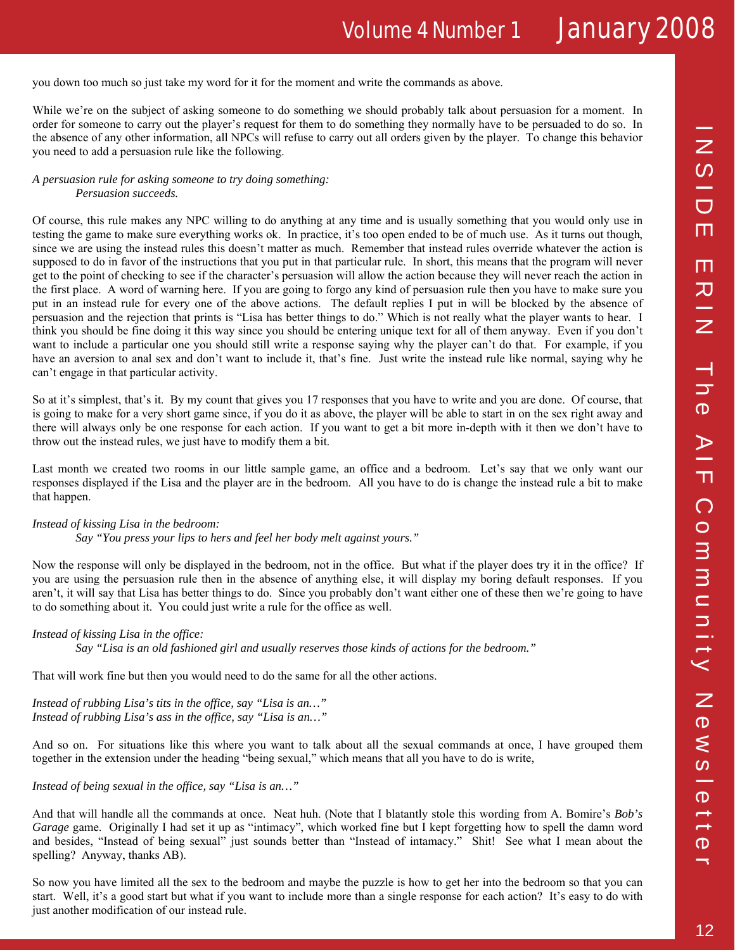you down too much so just take my word for it for the moment and write the commands as above.

While we're on the subject of asking someone to do something we should probably talk about persuasion for a moment. In order for someone to carry out the player's request for them to do something they normally have to be persuaded to do so. In the absence of any other information, all NPCs will refuse to carry out all orders given by the player. To change this behavior you need to add a persuasion rule like the following.

#### *A persuasion rule for asking someone to try doing something: Persuasion succeeds.*

Of course, this rule makes any NPC willing to do anything at any time and is usually something that you would only use in testing the game to make sure everything works ok. In practice, it's too open ended to be of much use. As it turns out though, since we are using the instead rules this doesn't matter as much. Remember that instead rules override whatever the action is supposed to do in favor of the instructions that you put in that particular rule. In short, this means that the program will never get to the point of checking to see if the character's persuasion will allow the action because they will never reach the action in the first place. A word of warning here. If you are going to forgo any kind of persuasion rule then you have to make sure you put in an instead rule for every one of the above actions. The default replies I put in will be blocked by the absence of persuasion and the rejection that prints is "Lisa has better things to do." Which is not really what the player wants to hear. I think you should be fine doing it this way since you should be entering unique text for all of them anyway. Even if you don't want to include a particular one you should still write a response saying why the player can't do that. For example, if you have an aversion to anal sex and don't want to include it, that's fine. Just write the instead rule like normal, saying why he can't engage in that particular activity.

So at it's simplest, that's it. By my count that gives you 17 responses that you have to write and you are done. Of course, that is going to make for a very short game since, if you do it as above, the player will be able to start in on the sex right away and there will always only be one response for each action. If you want to get a bit more in-depth with it then we don't have to throw out the instead rules, we just have to modify them a bit.

Last month we created two rooms in our little sample game, an office and a bedroom. Let's say that we only want our responses displayed if the Lisa and the player are in the bedroom. All you have to do is change the instead rule a bit to make that happen.

#### *Instead of kissing Lisa in the bedroom:*

 *Say "You press your lips to hers and feel her body melt against yours."* 

Now the response will only be displayed in the bedroom, not in the office. But what if the player does try it in the office? If you are using the persuasion rule then in the absence of anything else, it will display my boring default responses. If you aren't, it will say that Lisa has better things to do. Since you probably don't want either one of these then we're going to have to do something about it. You could just write a rule for the office as well.

#### *Instead of kissing Lisa in the office:*

 *Say "Lisa is an old fashioned girl and usually reserves those kinds of actions for the bedroom."* 

That will work fine but then you would need to do the same for all the other actions.

*Instead of rubbing Lisa's tits in the office, say "Lisa is an…" Instead of rubbing Lisa's ass in the office, say "Lisa is an…"* 

And so on. For situations like this where you want to talk about all the sexual commands at once, I have grouped them together in the extension under the heading "being sexual," which means that all you have to do is write,

*Instead of being sexual in the office, say "Lisa is an…"* 

And that will handle all the commands at once. Neat huh. (Note that I blatantly stole this wording from A. Bomire's *Bob's Garage* game. Originally I had set it up as "intimacy", which worked fine but I kept forgetting how to spell the damn word and besides, "Instead of being sexual" just sounds better than "Instead of intamacy." Shit! See what I mean about the spelling? Anyway, thanks AB).

So now you have limited all the sex to the bedroom and maybe the puzzle is how to get her into the bedroom so that you can start. Well, it's a good start but what if you want to include more than a single response for each action? It's easy to do with just another modification of our instead rule.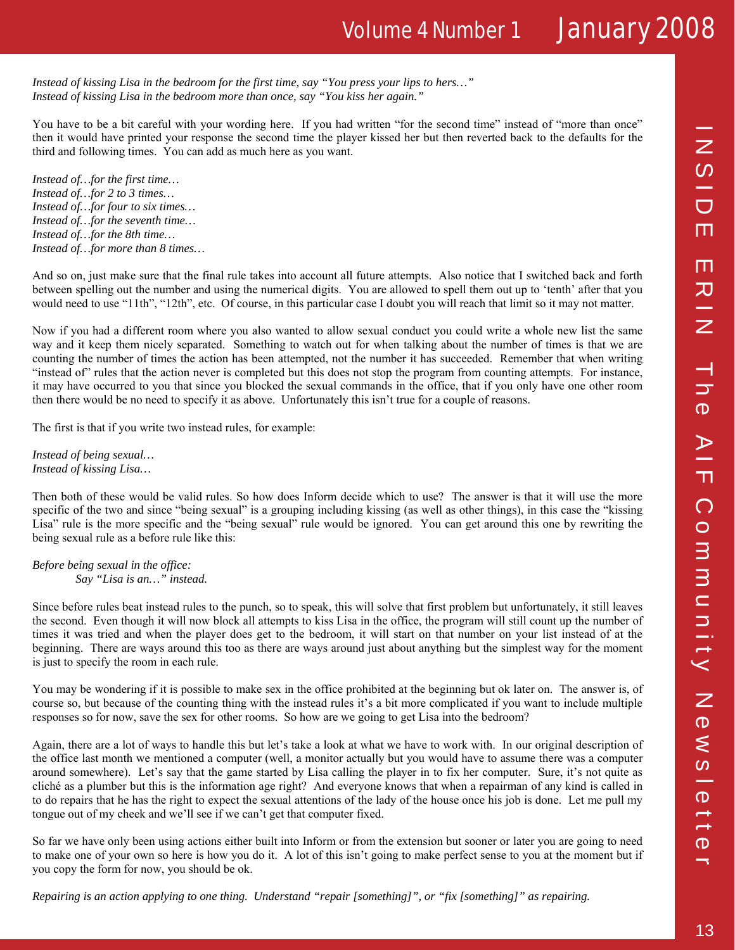*Instead of kissing Lisa in the bedroom for the first time, say "You press your lips to hers…" Instead of kissing Lisa in the bedroom more than once, say "You kiss her again."* 

You have to be a bit careful with your wording here. If you had written "for the second time" instead of "more than once" then it would have printed your response the second time the player kissed her but then reverted back to the defaults for the third and following times. You can add as much here as you want.

*Instead of…for the first time… Instead of…for 2 to 3 times… Instead of…for four to six times… Instead of…for the seventh time… Instead of…for the 8th time… Instead of…for more than 8 times…* 

And so on, just make sure that the final rule takes into account all future attempts. Also notice that I switched back and forth between spelling out the number and using the numerical digits. You are allowed to spell them out up to 'tenth' after that you would need to use "11th", "12th", etc. Of course, in this particular case I doubt you will reach that limit so it may not matter.

Now if you had a different room where you also wanted to allow sexual conduct you could write a whole new list the same way and it keep them nicely separated. Something to watch out for when talking about the number of times is that we are counting the number of times the action has been attempted, not the number it has succeeded. Remember that when writing "instead of" rules that the action never is completed but this does not stop the program from counting attempts. For instance, it may have occurred to you that since you blocked the sexual commands in the office, that if you only have one other room then there would be no need to specify it as above. Unfortunately this isn't true for a couple of reasons.

The first is that if you write two instead rules, for example:

*Instead of being sexual… Instead of kissing Lisa…* 

Then both of these would be valid rules. So how does Inform decide which to use? The answer is that it will use the more specific of the two and since "being sexual" is a grouping including kissing (as well as other things), in this case the "kissing Lisa" rule is the more specific and the "being sexual" rule would be ignored. You can get around this one by rewriting the being sexual rule as a before rule like this:

*Before being sexual in the office: Say "Lisa is an…" instead.* 

Since before rules beat instead rules to the punch, so to speak, this will solve that first problem but unfortunately, it still leaves the second. Even though it will now block all attempts to kiss Lisa in the office, the program will still count up the number of times it was tried and when the player does get to the bedroom, it will start on that number on your list instead of at the beginning. There are ways around this too as there are ways around just about anything but the simplest way for the moment is just to specify the room in each rule.

You may be wondering if it is possible to make sex in the office prohibited at the beginning but ok later on. The answer is, of course so, but because of the counting thing with the instead rules it's a bit more complicated if you want to include multiple responses so for now, save the sex for other rooms. So how are we going to get Lisa into the bedroom?

Again, there are a lot of ways to handle this but let's take a look at what we have to work with. In our original description of the office last month we mentioned a computer (well, a monitor actually but you would have to assume there was a computer around somewhere). Let's say that the game started by Lisa calling the player in to fix her computer. Sure, it's not quite as cliché as a plumber but this is the information age right? And everyone knows that when a repairman of any kind is called in to do repairs that he has the right to expect the sexual attentions of the lady of the house once his job is done. Let me pull my tongue out of my cheek and we'll see if we can't get that computer fixed.

So far we have only been using actions either built into Inform or from the extension but sooner or later you are going to need to make one of your own so here is how you do it. A lot of this isn't going to make perfect sense to you at the moment but if you copy the form for now, you should be ok.

*Repairing is an action applying to one thing. Understand "repair [something]", or "fix [something]" as repairing.*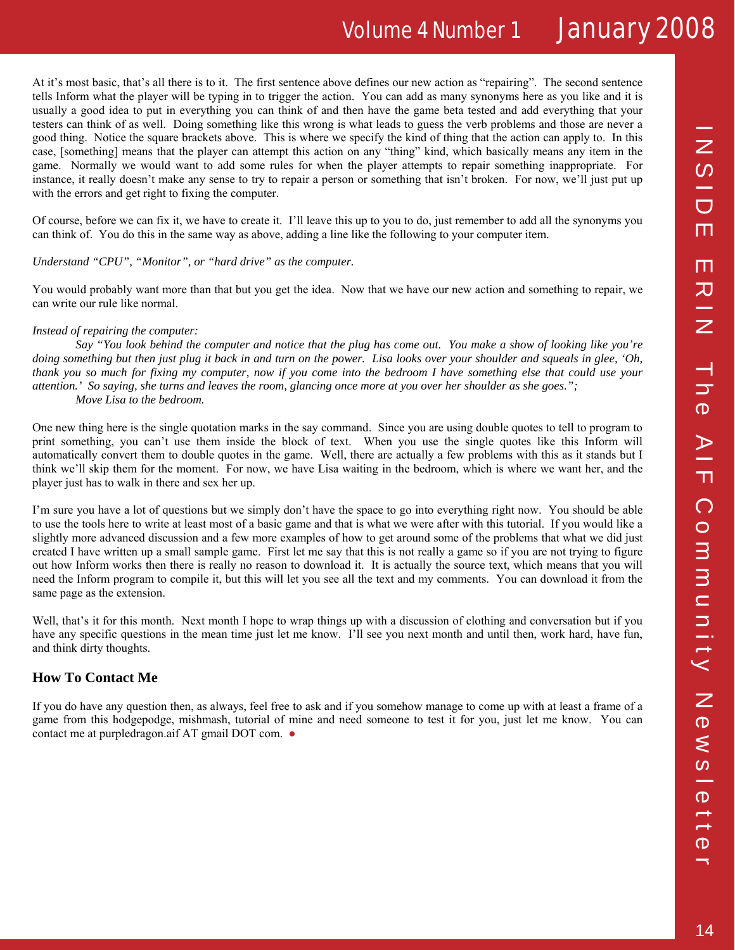At it's most basic, that's all there is to it. The first sentence above defines our new action as "repairing". The second sentence tells Inform what the player will be typing in to trigger the action. You can add as many synonyms here as you like and it is usually a good idea to put in everything you can think of and then have the game beta tested and add everything that your testers can think of as well. Doing something like this wrong is what leads to guess the verb problems and those are never a good thing. Notice the square brackets above. This is where we specify the kind of thing that the action can apply to. In this case, [something] means that the player can attempt this action on any "thing" kind, which basically means any item in the game. Normally we would want to add some rules for when the player attempts to repair something inappropriate. For instance, it really doesn't make any sense to try to repair a person or something that isn't broken. For now, we'll just put up with the errors and get right to fixing the computer.

Of course, before we can fix it, we have to create it. I'll leave this up to you to do, just remember to add all the synonyms you can think of. You do this in the same way as above, adding a line like the following to your computer item.

*Understand "CPU", "Monitor", or "hard drive" as the computer.* 

You would probably want more than that but you get the idea. Now that we have our new action and something to repair, we can write our rule like normal.

#### *Instead of repairing the computer:*

 *Say "You look behind the computer and notice that the plug has come out. You make a show of looking like you're doing something but then just plug it back in and turn on the power. Lisa looks over your shoulder and squeals in glee, 'Oh, thank you so much for fixing my computer, now if you come into the bedroom I have something else that could use your attention.' So saying, she turns and leaves the room, glancing once more at you over her shoulder as she goes."; Move Lisa to the bedroom.* 

One new thing here is the single quotation marks in the say command. Since you are using double quotes to tell to program to print something, you can't use them inside the block of text. When you use the single quotes like this Inform will automatically convert them to double quotes in the game. Well, there are actually a few problems with this as it stands but I think we'll skip them for the moment. For now, we have Lisa waiting in the bedroom, which is where we want her, and the player just has to walk in there and sex her up.

I'm sure you have a lot of questions but we simply don't have the space to go into everything right now. You should be able to use the tools here to write at least most of a basic game and that is what we were after with this tutorial. If you would like a slightly more advanced discussion and a few more examples of how to get around some of the problems that what we did just created I have written up a small sample game. First let me say that this is not really a game so if you are not trying to figure out how Inform works then there is really no reason to download it. It is actually the source text, which means that you will need the Inform program to compile it, but this will let you see all the text and my comments. You can download it from the same page as the extension.

Well, that's it for this month. Next month I hope to wrap things up with a discussion of clothing and conversation but if you have any specific questions in the mean time just let me know. I'll see you next month and until then, work hard, have fun, and think dirty thoughts.

#### **How To Contact Me**

If you do have any question then, as always, feel free to ask and if you somehow manage to come up with at least a frame of a game from this hodgepodge, mishmash, tutorial of mine and need someone to test it for you, just let me know. You can contact me at purpledragon.aif AT gmail DOT com. ●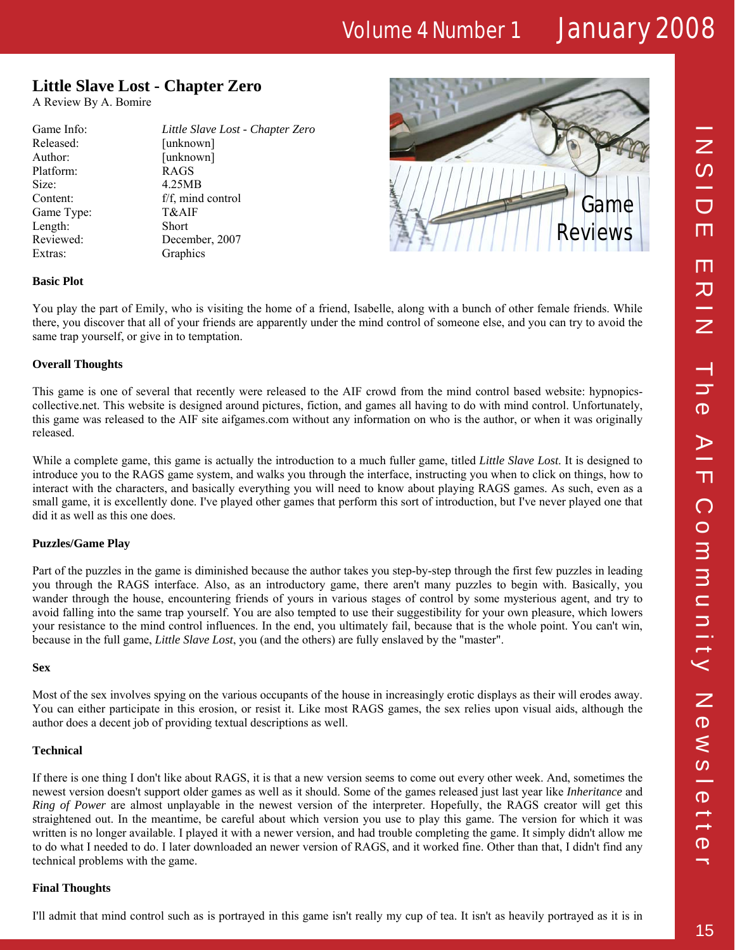## **Little Slave Lost - Chapter Zero**

A Review By A. Bomire

| Game Info: | Little Slave Lost - Chapter Zero |
|------------|----------------------------------|
| Released:  | [unknown]                        |
| Author:    | [unknown]                        |
| Platform:  | <b>RAGS</b>                      |
| Size:      | 4.25MB                           |
| Content:   | $f/f$ , mind control             |
| Game Type: | T&AIF                            |
| Length:    | Short                            |
| Reviewed:  | December, 2007                   |
| Extras:    | Graphics                         |



#### **Basic Plot**

You play the part of Emily, who is visiting the home of a friend, Isabelle, along with a bunch of other female friends. While there, you discover that all of your friends are apparently under the mind control of someone else, and you can try to avoid the same trap yourself, or give in to temptation.

#### **Overall Thoughts**

This game is one of several that recently were released to the AIF crowd from the mind control based website: hypnopicscollective.net. This website is designed around pictures, fiction, and games all having to do with mind control. Unfortunately, this game was released to the AIF site aifgames.com without any information on who is the author, or when it was originally released.

While a complete game, this game is actually the introduction to a much fuller game, titled *Little Slave Lost*. It is designed to introduce you to the RAGS game system, and walks you through the interface, instructing you when to click on things, how to interact with the characters, and basically everything you will need to know about playing RAGS games. As such, even as a small game, it is excellently done. I've played other games that perform this sort of introduction, but I've never played one that did it as well as this one does.

#### **Puzzles/Game Play**

Part of the puzzles in the game is diminished because the author takes you step-by-step through the first few puzzles in leading you through the RAGS interface. Also, as an introductory game, there aren't many puzzles to begin with. Basically, you wander through the house, encountering friends of yours in various stages of control by some mysterious agent, and try to avoid falling into the same trap yourself. You are also tempted to use their suggestibility for your own pleasure, which lowers your resistance to the mind control influences. In the end, you ultimately fail, because that is the whole point. You can't win, because in the full game, *Little Slave Lost*, you (and the others) are fully enslaved by the "master".

#### **Sex**

Most of the sex involves spying on the various occupants of the house in increasingly erotic displays as their will erodes away. You can either participate in this erosion, or resist it. Like most RAGS games, the sex relies upon visual aids, although the author does a decent job of providing textual descriptions as well.

#### **Technical**

If there is one thing I don't like about RAGS, it is that a new version seems to come out every other week. And, sometimes the newest version doesn't support older games as well as it should. Some of the games released just last year like *Inheritance* and *Ring of Power* are almost unplayable in the newest version of the interpreter. Hopefully, the RAGS creator will get this straightened out. In the meantime, be careful about which version you use to play this game. The version for which it was written is no longer available. I played it with a newer version, and had trouble completing the game. It simply didn't allow me to do what I needed to do. I later downloaded an newer version of RAGS, and it worked fine. Other than that, I didn't find any technical problems with the game.

#### **Final Thoughts**

I'll admit that mind control such as is portrayed in this game isn't really my cup of tea. It isn't as heavily portrayed as it is in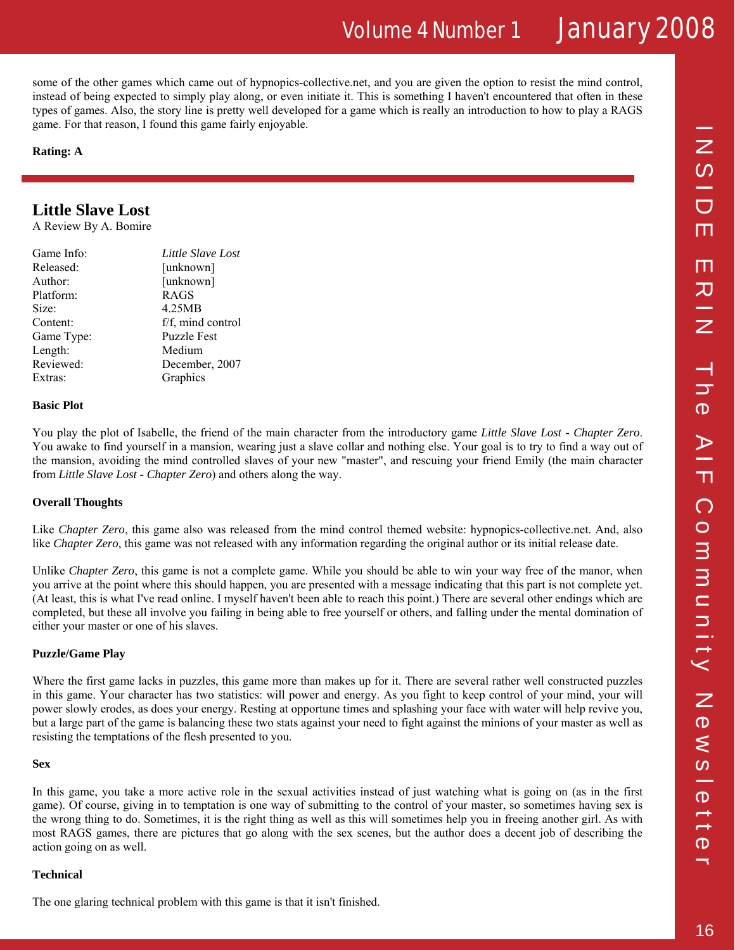some of the other games which came out of hypnopics-collective.net, and you are given the option to resist the mind control, instead of being expected to simply play along, or even initiate it. This is something I haven't encountered that often in these types of games. Also, the story line is pretty well developed for a game which is really an introduction to how to play a RAGS game. For that reason, I found this game fairly enjoyable.

#### **Rating: A**

## **Little Slave Lost**

A Review By A. Bomire

Game Info: *Little Slave Lost* Released: [unknown] Author: [unknown] Platform: RAGS Size: 4.25MB Content: f/f, mind control Game Type: Puzzle Fest Length: Medium Reviewed: December, 2007 Extras: Graphics

#### **Basic Plot**

You play the plot of Isabelle, the friend of the main character from the introductory game *Little Slave Lost - Chapter Zero*. You awake to find yourself in a mansion, wearing just a slave collar and nothing else. Your goal is to try to find a way out of the mansion, avoiding the mind controlled slaves of your new "master", and rescuing your friend Emily (the main character from *Little Slave Lost - Chapter Zero*) and others along the way.

#### **Overall Thoughts**

Like *Chapter Zero*, this game also was released from the mind control themed website: hypnopics-collective.net. And, also like *Chapter Zero*, this game was not released with any information regarding the original author or its initial release date.

Unlike *Chapter Zero*, this game is not a complete game. While you should be able to win your way free of the manor, when you arrive at the point where this should happen, you are presented with a message indicating that this part is not complete yet. (At least, this is what I've read online. I myself haven't been able to reach this point.) There are several other endings which are completed, but these all involve you failing in being able to free yourself or others, and falling under the mental domination of either your master or one of his slaves.

#### **Puzzle/Game Play**

Where the first game lacks in puzzles, this game more than makes up for it. There are several rather well constructed puzzles in this game. Your character has two statistics: will power and energy. As you fight to keep control of your mind, your will power slowly erodes, as does your energy. Resting at opportune times and splashing your face with water will help revive you, but a large part of the game is balancing these two stats against your need to fight against the minions of your master as well as resisting the temptations of the flesh presented to you.

#### **Sex**

In this game, you take a more active role in the sexual activities instead of just watching what is going on (as in the first game). Of course, giving in to temptation is one way of submitting to the control of your master, so sometimes having sex is the wrong thing to do. Sometimes, it is the right thing as well as this will sometimes help you in freeing another girl. As with most RAGS games, there are pictures that go along with the sex scenes, but the author does a decent job of describing the action going on as well.

#### **Technical**

The one glaring technical problem with this game is that it isn't finished.